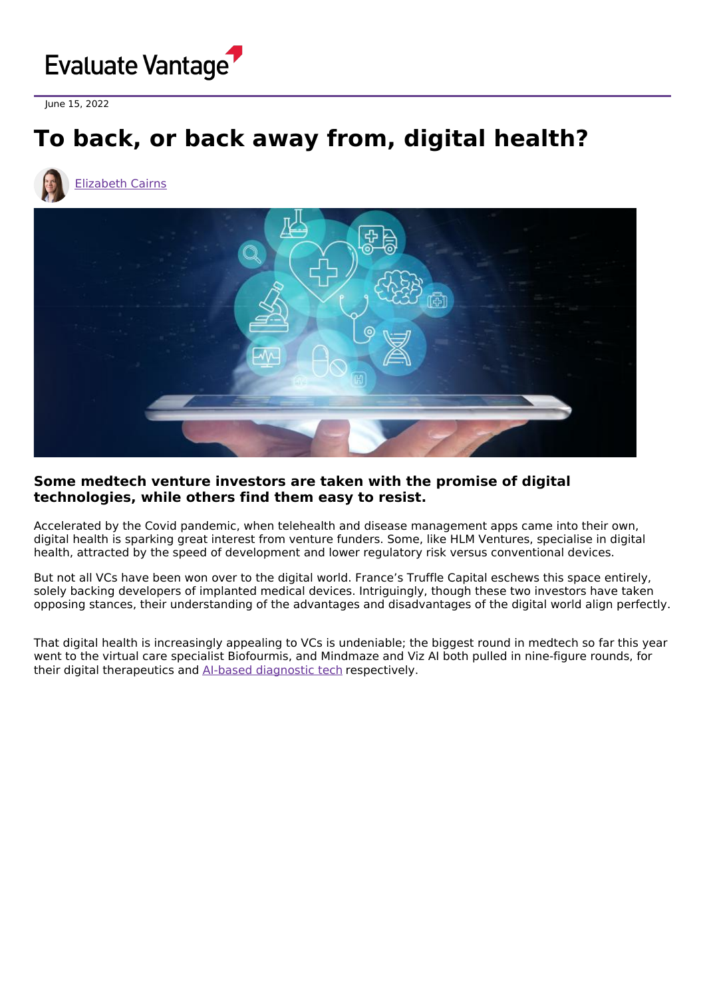

June 15, 2022

## **To back, or back away from, digital health?**





## **Some medtech venture investors are taken with the promise of digital technologies, while others find them easy to resist.**

Accelerated by the Covid pandemic, when telehealth and disease management apps came into their own, digital health is sparking great interest from venture funders. Some, like HLM Ventures, specialise in digital health, attracted by the speed of development and lower regulatory risk versus conventional devices.

But not all VCs have been won over to the digital world. France's Truffle Capital eschews this space entirely, solely backing developers of implanted medical devices. Intriguingly, though these two investors have taken opposing stances, their understanding of the advantages and disadvantages of the digital world align perfectly.

That digital health is increasingly appealing to VCs is undeniable; the biggest round in medtech so far this year went to the virtual care specialist Biofourmis, and Mindmaze and Viz AI both pulled in nine-figure rounds, for their digital therapeutics and AI-based [diagnostic](https://www.evaluate.com/vantage/articles/news/deals-snippets/viz-ai-passes-1bn-valuation-mark) tech respectively.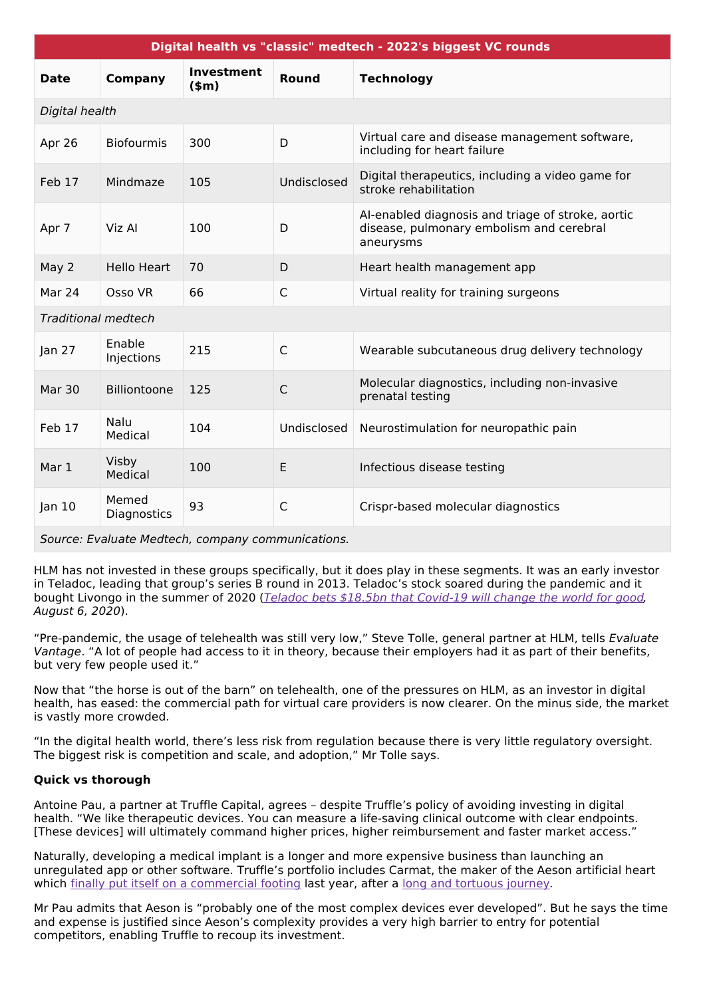| Digital health vs "classic" medtech - 2022's biggest VC rounds |                      |                              |              |                                                                                                            |
|----------------------------------------------------------------|----------------------|------------------------------|--------------|------------------------------------------------------------------------------------------------------------|
| <b>Date</b>                                                    | Company              | <b>Investment</b><br>$(\$m)$ | Round        | <b>Technology</b>                                                                                          |
| Digital health                                                 |                      |                              |              |                                                                                                            |
| Apr 26                                                         | <b>Biofourmis</b>    | 300                          | D            | Virtual care and disease management software,<br>including for heart failure                               |
| Feb 17                                                         | Mindmaze             | 105                          | Undisclosed  | Digital therapeutics, including a video game for<br>stroke rehabilitation                                  |
| Apr 7                                                          | Viz Al               | 100                          | D            | Al-enabled diagnosis and triage of stroke, aortic<br>disease, pulmonary embolism and cerebral<br>aneurysms |
| May 2                                                          | <b>Hello Heart</b>   | 70                           | D            | Heart health management app                                                                                |
| Mar 24                                                         | Osso VR              | 66                           | $\mathsf{C}$ | Virtual reality for training surgeons                                                                      |
| <b>Traditional medtech</b>                                     |                      |                              |              |                                                                                                            |
| Jan $27$                                                       | Enable<br>Injections | 215                          | $\mathsf{C}$ | Wearable subcutaneous drug delivery technology                                                             |
| Mar 30                                                         | Billiontoone         | 125                          | $\mathsf{C}$ | Molecular diagnostics, including non-invasive<br>prenatal testing                                          |
| Feb 17                                                         | Nalu<br>Medical      | 104                          | Undisclosed  | Neurostimulation for neuropathic pain                                                                      |
| Mar 1                                                          | Visby<br>Medical     | 100                          | E            | Infectious disease testing                                                                                 |
| Jan $10$                                                       | Memed<br>Diagnostics | 93                           | $\mathsf{C}$ | Crispr-based molecular diagnostics                                                                         |
| Source: Evaluate Medtech, company communications.              |                      |                              |              |                                                                                                            |

Source: Evaluate Medtech, company communications.

HLM has not invested in these groups specifically, but it does play in these segments. It was an early investor in Teladoc, leading that group's series B round in 2013. Teladoc's stock soared during the pandemic and it bought Livongo in the summer of 2020 (Teladoc bets \$18.5bn that [Covid-19](https://www.evaluate.com/vantage/articles/news/deals/teladoc-bets-185bn-covid-19-will-change-world-good) will change the world for good, August 6, 2020).

"Pre-pandemic, the usage of telehealth was still very low," Steve Tolle, general partner at HLM, tells Evaluate Vantage. "A lot of people had access to it in theory, because their employers had it as part of their benefits, but very few people used it."

Now that "the horse is out of the barn" on telehealth, one of the pressures on HLM, as an investor in digital health, has eased: the commercial path for virtual care providers is now clearer. On the minus side, the market is vastly more crowded.

"In the digital health world, there's less risk from regulation because there is very little regulatory oversight. The biggest risk is competition and scale, and adoption," Mr Tolle says.

## **Quick vs thorough**

Antoine Pau, a partner at Truffle Capital, agrees – despite Truffle's policy of avoiding investing in digital health. "We like therapeutic devices. You can measure a life-saving clinical outcome with clear endpoints. [These devices] will ultimately command higher prices, higher reimbursement and faster market access."

Naturally, developing a medical implant is a longer and more expensive business than launching an unregulated app or other software. Truffle's portfolio includes Carmat, the maker of the Aeson artificial heart which finally put itself on a [commercial](https://www.evaluate.com/vantage/articles/news/snippets/carmat-hits-big-time) footing last year, after a long and [tortuous](https://www.evaluate.com/vantage/articles/news/snippets/joyeux-noel-carmat) journey.

Mr Pau admits that Aeson is "probably one of the most complex devices ever developed". But he says the time and expense is justified since Aeson's complexity provides a very high barrier to entry for potential competitors, enabling Truffle to recoup its investment.